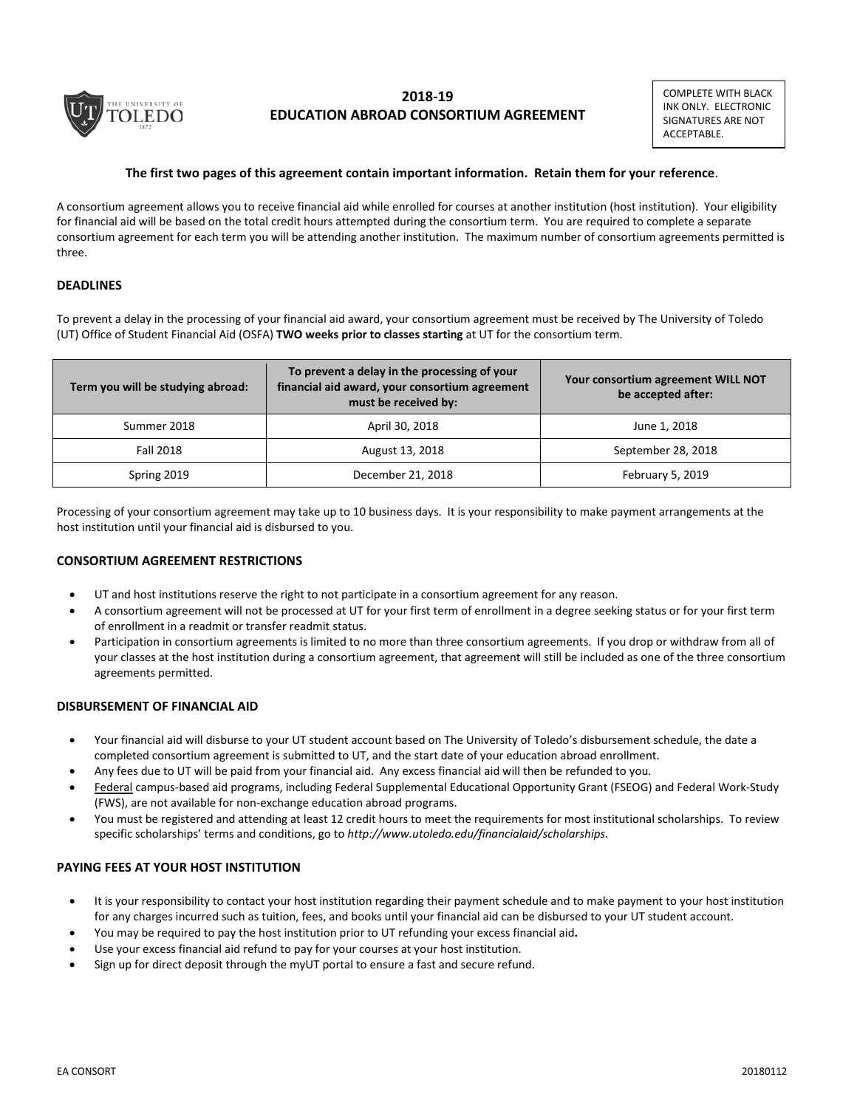

# **2018-19 EDUCATION ABROAD CONSORTIUM AGREEMENT**

COMPLETE WITH BLACK INK ONLY. ELECTRONIC SIGNATURES ARE NOT ACCEPTABLE.

### **The first two pages of this agreement contain important information. Retain them for your reference**.

A consortium agreement allows you to receive financial aid while enrolled for courses at another institution (host institution). Your eligibility for financial aid will be based on the total credit hours attempted during the consortium term. You are required to complete a separate consortium agreement for each term you will be attending another institution. The maximum number of consortium agreements permitted is three.

### **DEADLINES**

To prevent a delay in the processing of your financial aid award, your consortium agreement must be received by The University of Toledo (UT) Office of Student Financial Aid (OSFA) **TWO weeks prior to classes starting** at UT for the consortium term.

| Term you will be studying abroad: | To prevent a delay in the processing of your<br>financial aid award, your consortium agreement<br>must be received by: | Your consortium agreement WILL NOT<br>be accepted after: |  |
|-----------------------------------|------------------------------------------------------------------------------------------------------------------------|----------------------------------------------------------|--|
| Summer 2018                       | April 30, 2018                                                                                                         | June 1, 2018                                             |  |
| <b>Fall 2018</b>                  | August 13, 2018                                                                                                        | September 28, 2018                                       |  |
| Spring 2019                       | December 21, 2018                                                                                                      | February 5, 2019                                         |  |

Processing of your consortium agreement may take up to 10 business days. It is your responsibility to make payment arrangements at the host institution until your financial aid is disbursed to you.

#### **CONSORTIUM AGREEMENT RESTRICTIONS**

- UT and host institutions reserve the right to not participate in a consortium agreement for any reason.
- A consortium agreement will not be processed at UT for your first term of enrollment in a degree seeking status or for your first term of enrollment in a readmit or transfer readmit status.
- Participation in consortium agreements is limited to no more than three consortium agreements. If you drop or withdraw from all of your classes at the host institution during a consortium agreement, that agreement will still be included as one of the three consortium agreements permitted.

#### **DISBURSEMENT OF FINANCIAL AID**

- Your financial aid will disburse to your UT student account based on The University of Toledo's disbursement schedule, the date a completed consortium agreement is submitted to UT, and the start date of your education abroad enrollment.
- Any fees due to UT will be paid from your financial aid. Any excess financial aid will then be refunded to you.
- Federal campus-based aid programs, including Federal Supplemental Educational Opportunity Grant (FSEOG) and Federal Work-Study (FWS), are not available for non-exchange education abroad programs.
- You must be registered and attending at least 12 credit hours to meet the requirements for most institutional scholarships. To review specific scholarships' terms and conditions, go to *http:/[/www.utoledo.edu/financialaid/scholarships](http://www.utoledo.edu/financialaid/scholarships)*.

# **PAYING FEES AT YOUR HOST INSTITUTION**

- It is your responsibility to contact your host institution regarding their payment schedule and to make payment to your host institution for any charges incurred such as tuition, fees, and books until your financial aid can be disbursed to your UT student account.
- You may be required to pay the host institution prior to UT refunding your excess financial aid**.**
- Use your excess financial aid refund to pay for your courses at your host institution.
- Sign up for direct deposit through the myUT portal to ensure a fast and secure refund.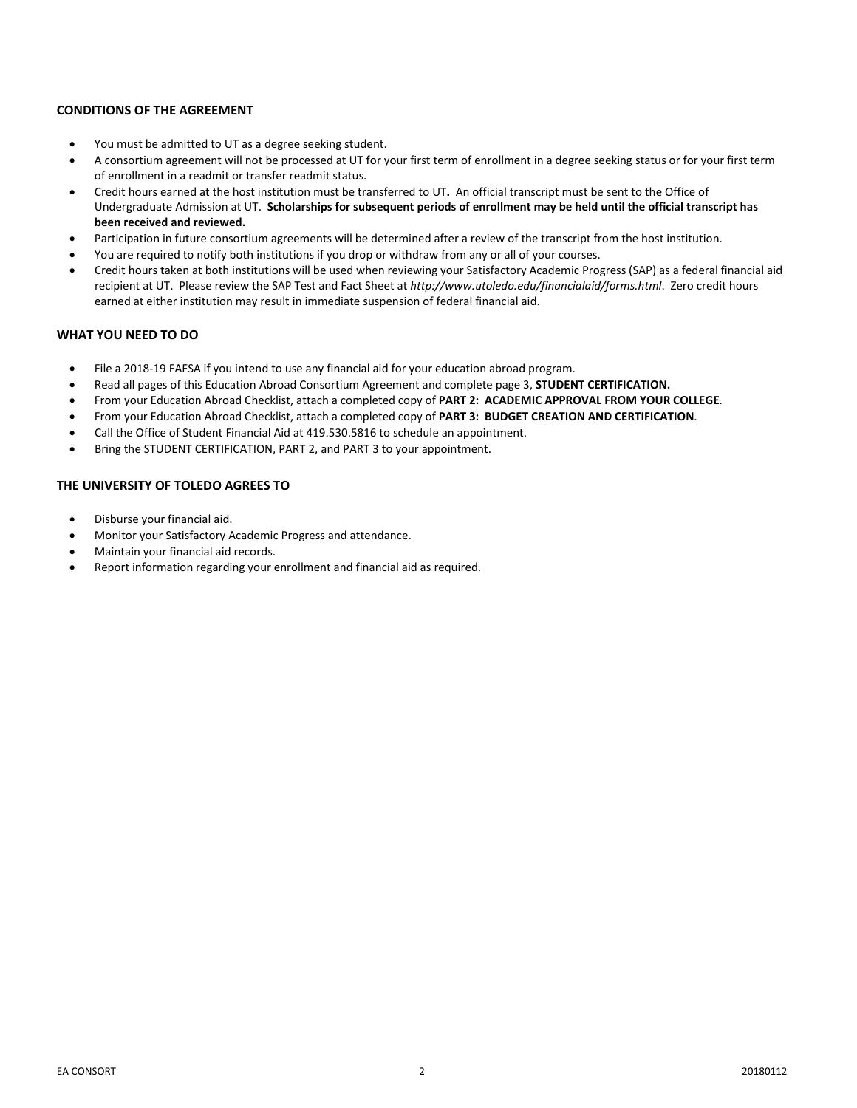### **CONDITIONS OF THE AGREEMENT**

- You must be admitted to UT as a degree seeking student.
- A consortium agreement will not be processed at UT for your first term of enrollment in a degree seeking status or for your first term of enrollment in a readmit or transfer readmit status.
- Credit hours earned at the host institution must be transferred to UT**.** An official transcript must be sent to the Office of Undergraduate Admission at UT. **Scholarships for subsequent periods of enrollment may be held until the official transcript has been received and reviewed.**
- Participation in future consortium agreements will be determined after a review of the transcript from the host institution.
- You are required to notify both institutions if you drop or withdraw from any or all of your courses.
- Credit hours taken at both institutions will be used when reviewing your Satisfactory Academic Progress (SAP) as a federal financial aid recipient at UT. Please review the SAP Test and Fact Sheet at *<http://www.utoledo.edu/financialaid/forms.html>*. Zero credit hours earned at either institution may result in immediate suspension of federal financial aid.

#### **WHAT YOU NEED TO DO**

- File a 2018-19 FAFSA if you intend to use any financial aid for your education abroad program.
- Read all pages of this Education Abroad Consortium Agreement and complete page 3, **STUDENT CERTIFICATION.**
- From your Education Abroad Checklist, attach a completed copy of **PART 2: ACADEMIC APPROVAL FROM YOUR COLLEGE**.
- From your Education Abroad Checklist, attach a completed copy of **PART 3: BUDGET CREATION AND CERTIFICATION**.
- Call the Office of Student Financial Aid at 419.530.5816 to schedule an appointment.
- Bring the STUDENT CERTIFICATION, PART 2, and PART 3 to your appointment.

### **THE UNIVERSITY OF TOLEDO AGREES TO**

- Disburse your financial aid.
- Monitor your Satisfactory Academic Progress and attendance.
- Maintain your financial aid records.
- Report information regarding your enrollment and financial aid as required.